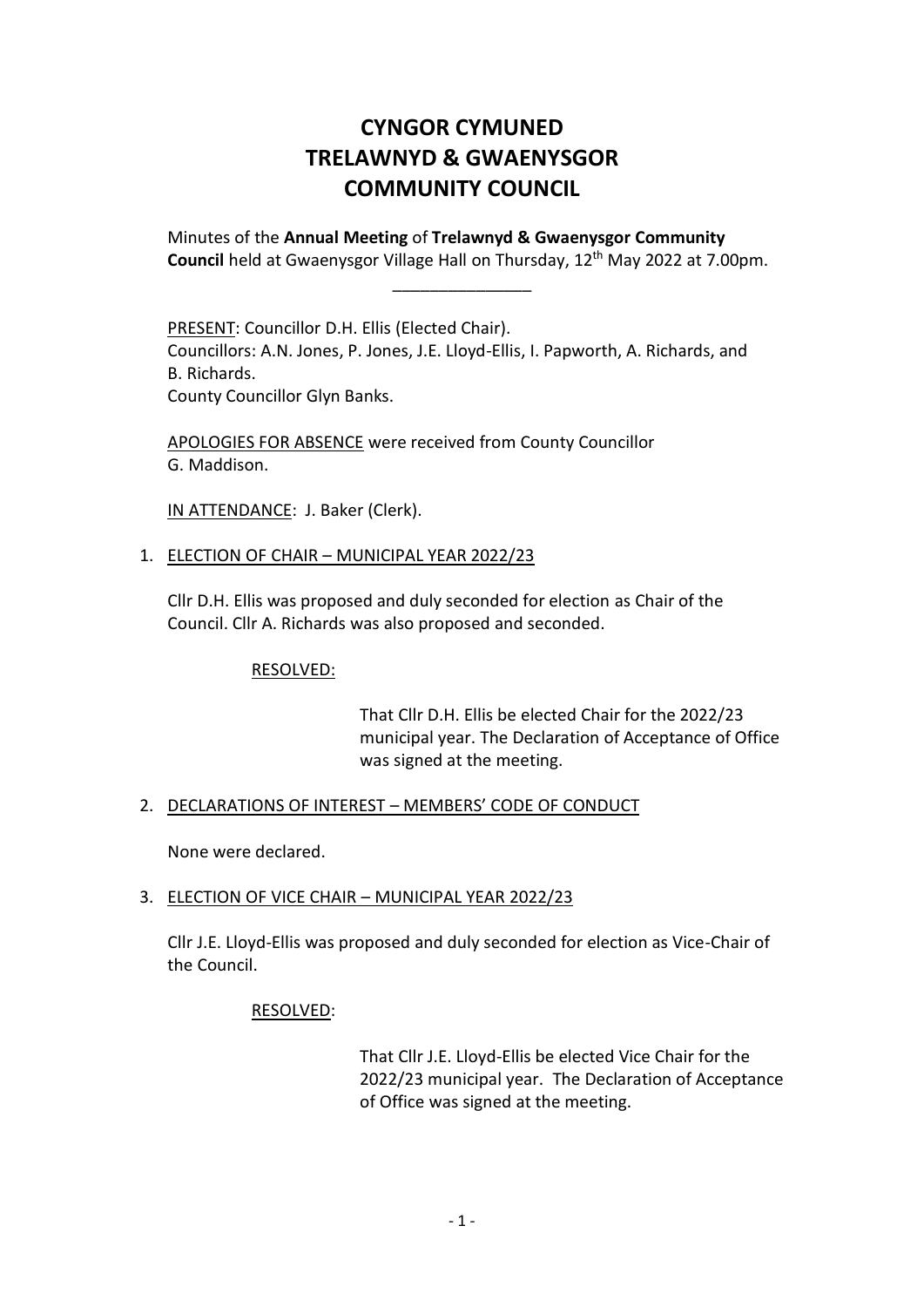# **CYNGOR CYMUNED TRELAWNYD & GWAENYSGOR COMMUNITY COUNCIL**

Minutes of the **Annual Meeting** of **Trelawnyd & Gwaenysgor Community** Council held at Gwaenysgor Village Hall on Thursday, 12<sup>th</sup> May 2022 at 7.00pm.

\_\_\_\_\_\_\_\_\_\_\_\_\_\_\_

PRESENT: Councillor D.H. Ellis (Elected Chair). Councillors: A.N. Jones, P. Jones, J.E. Lloyd-Ellis, I. Papworth, A. Richards, and B. Richards. County Councillor Glyn Banks.

APOLOGIES FOR ABSENCE were received from County Councillor G. Maddison.

IN ATTENDANCE: J. Baker (Clerk).

# 1. ELECTION OF CHAIR – MUNICIPAL YEAR 2022/23

Cllr D.H. Ellis was proposed and duly seconded for election as Chair of the Council. Cllr A. Richards was also proposed and seconded.

# RESOLVED:

That Cllr D.H. Ellis be elected Chair for the 2022/23 municipal year. The Declaration of Acceptance of Office was signed at the meeting.

# 2. DECLARATIONS OF INTEREST – MEMBERS' CODE OF CONDUCT

None were declared.

### 3. ELECTION OF VICE CHAIR – MUNICIPAL YEAR 2022/23

Cllr J.E. Lloyd-Ellis was proposed and duly seconded for election as Vice-Chair of the Council.

# RESOLVED:

That Cllr J.E. Lloyd-Ellis be elected Vice Chair for the 2022/23 municipal year. The Declaration of Acceptance of Office was signed at the meeting.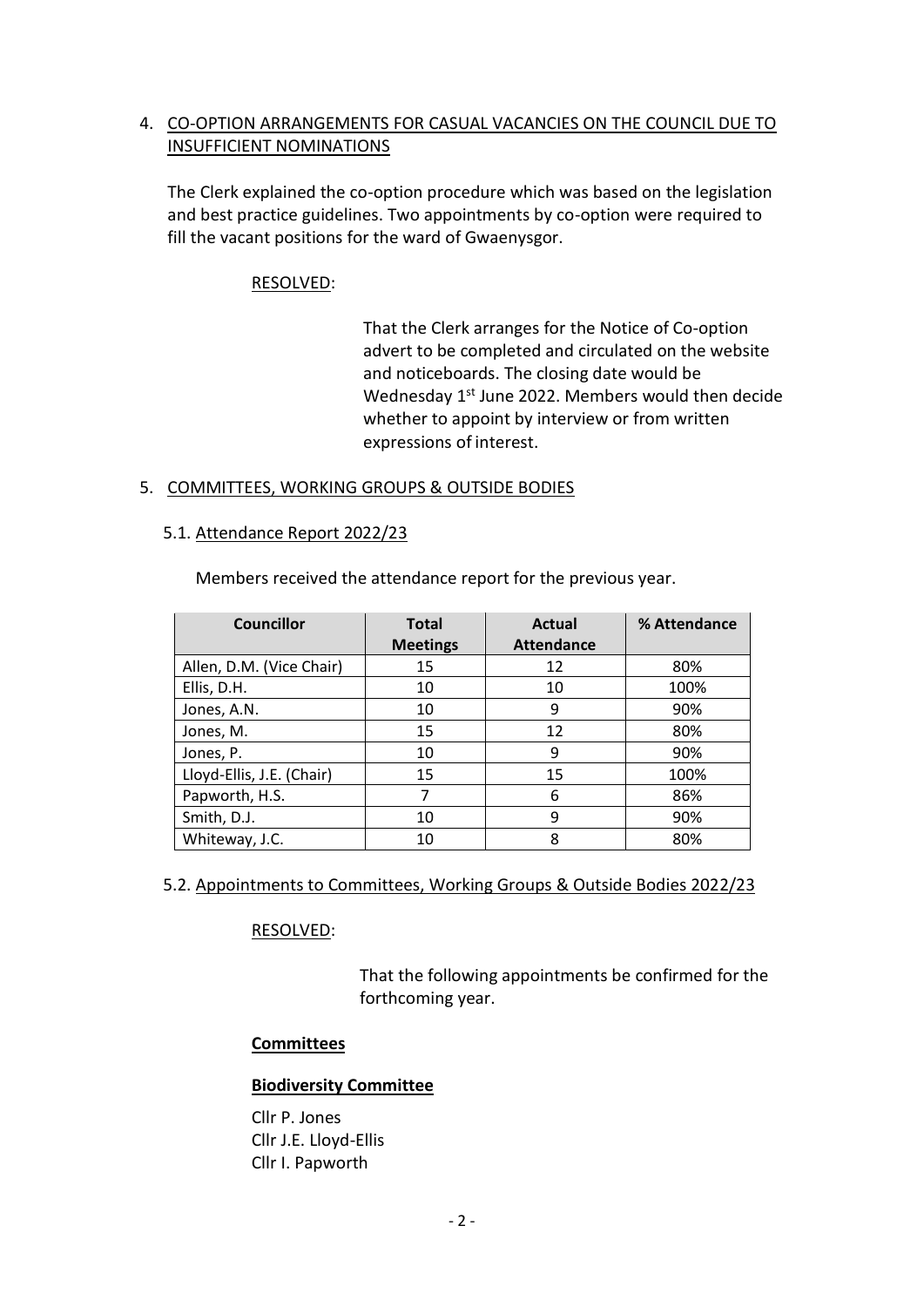# 4. CO-OPTION ARRANGEMENTS FOR CASUAL VACANCIES ON THE COUNCIL DUE TO INSUFFICIENT NOMINATIONS

The Clerk explained the co-option procedure which was based on the legislation and best practice guidelines. Two appointments by co-option were required to fill the vacant positions for the ward of Gwaenysgor.

# RESOLVED:

That the Clerk arranges for the Notice of Co-option advert to be completed and circulated on the website and noticeboards. The closing date would be Wednesday 1<sup>st</sup> June 2022. Members would then decide whether to appoint by interview or from written expressions of interest.

# 5. COMMITTEES, WORKING GROUPS & OUTSIDE BODIES

### 5.1. Attendance Report 2022/23

Members received the attendance report for the previous year.

| <b>Councillor</b>         | <b>Total</b>    | <b>Actual</b>     | % Attendance |
|---------------------------|-----------------|-------------------|--------------|
|                           | <b>Meetings</b> | <b>Attendance</b> |              |
| Allen, D.M. (Vice Chair)  | 15              | 12                | 80%          |
| Ellis, D.H.               | 10              | 10                | 100%         |
| Jones, A.N.               | 10              | 9                 | 90%          |
| Jones, M.                 | 15              | 12                | 80%          |
| Jones, P.                 | 10              | 9                 | 90%          |
| Lloyd-Ellis, J.E. (Chair) | 15              | 15                | 100%         |
| Papworth, H.S.            | 7               | 6                 | 86%          |
| Smith, D.J.               | 10              | 9                 | 90%          |
| Whiteway, J.C.            | 10              | 8                 | 80%          |

# 5.2. Appointments to Committees, Working Groups & Outside Bodies 2022/23

# RESOLVED:

That the following appointments be confirmed for the forthcoming year.

### **Committees**

### **Biodiversity Committee**

Cllr P. Jones Cllr J.E. Lloyd-Ellis Cllr I. Papworth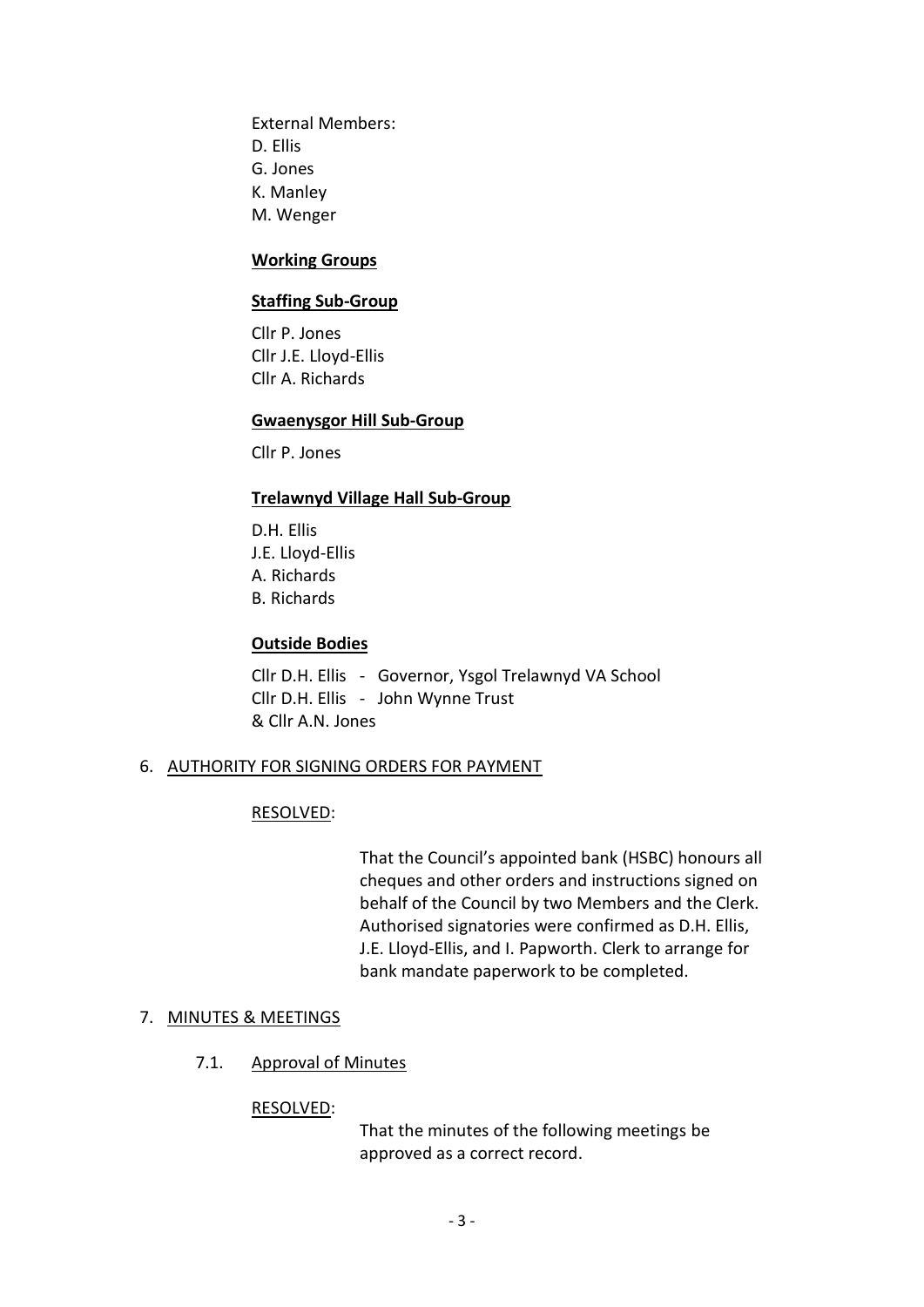External Members: D. Ellis G. Jones K. Manley M. Wenger

#### **Working Groups**

#### **Staffing Sub-Group**

Cllr P. Jones Cllr J.E. Lloyd-Ellis Cllr A. Richards

#### **Gwaenysgor Hill Sub-Group**

Cllr P. Jones

#### **Trelawnyd Village Hall Sub-Group**

D.H. Ellis J.E. Lloyd-Ellis A. Richards B. Richards

### **Outside Bodies**

Cllr D.H. Ellis - Governor, Ysgol Trelawnyd VA School Cllr D.H. Ellis - John Wynne Trust & Cllr A.N. Jones

#### 6. AUTHORITY FOR SIGNING ORDERS FOR PAYMENT

#### RESOLVED:

That the Council's appointed bank (HSBC) honours all cheques and other orders and instructions signed on behalf of the Council by two Members and the Clerk. Authorised signatories were confirmed as D.H. Ellis, J.E. Lloyd-Ellis, and I. Papworth. Clerk to arrange for bank mandate paperwork to be completed.

# 7. MINUTES & MEETINGS

# 7.1. Approval of Minutes

#### RESOLVED:

That the minutes of the following meetings be approved as a correct record.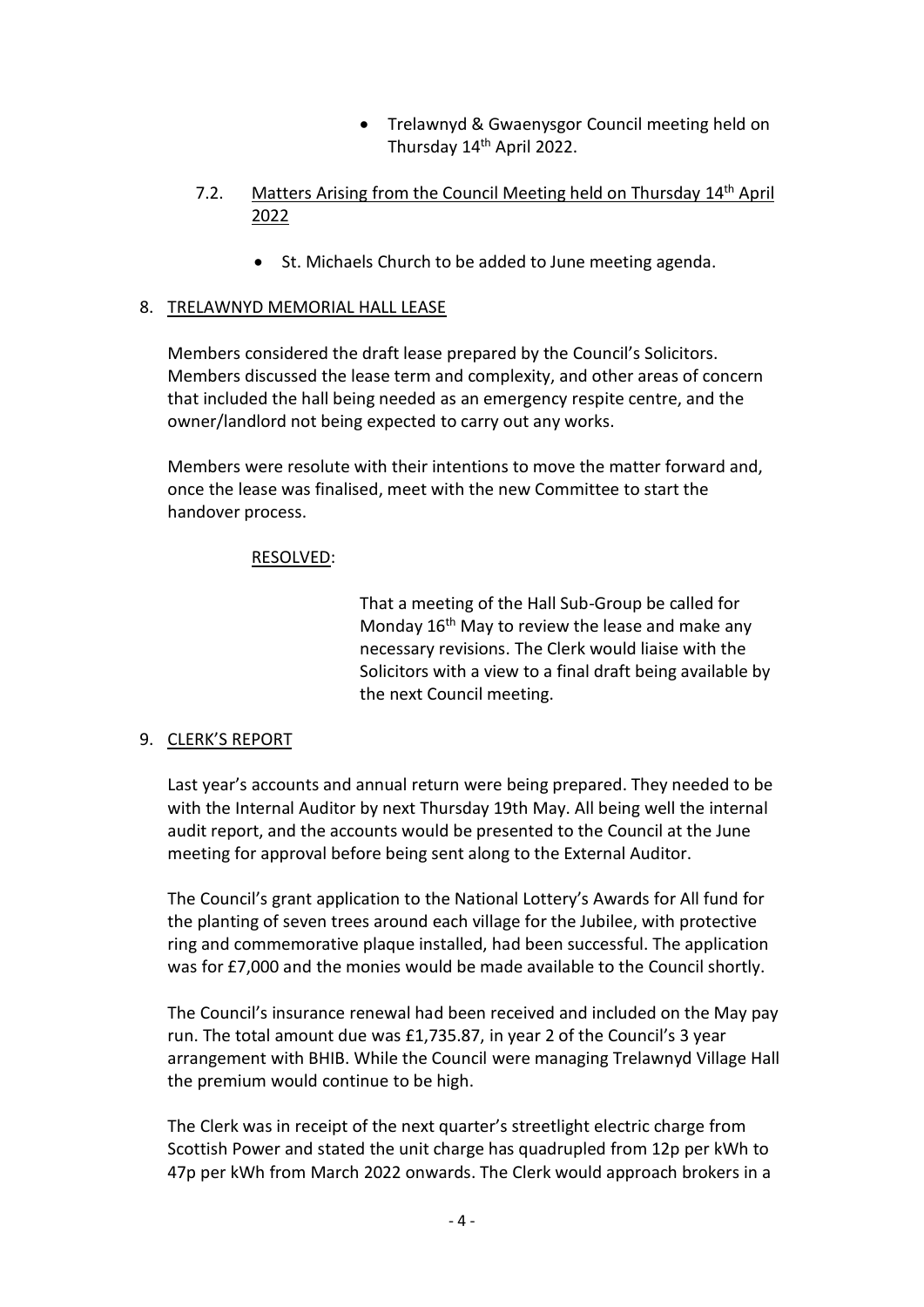- Trelawnyd & Gwaenysgor Council meeting held on Thursday 14<sup>th</sup> April 2022.
- 7.2. Matters Arising from the Council Meeting held on Thursday 14<sup>th</sup> April 2022
	- St. Michaels Church to be added to June meeting agenda.

# 8. TRELAWNYD MEMORIAL HALL LEASE

Members considered the draft lease prepared by the Council's Solicitors. Members discussed the lease term and complexity, and other areas of concern that included the hall being needed as an emergency respite centre, and the owner/landlord not being expected to carry out any works.

Members were resolute with their intentions to move the matter forward and, once the lease was finalised, meet with the new Committee to start the handover process.

# RESOLVED:

That a meeting of the Hall Sub-Group be called for Monday  $16<sup>th</sup>$  May to review the lease and make any necessary revisions. The Clerk would liaise with the Solicitors with a view to a final draft being available by the next Council meeting.

### 9. CLERK'S REPORT

Last year's accounts and annual return were being prepared. They needed to be with the Internal Auditor by next Thursday 19th May. All being well the internal audit report, and the accounts would be presented to the Council at the June meeting for approval before being sent along to the External Auditor.

The Council's grant application to the National Lottery's Awards for All fund for the planting of seven trees around each village for the Jubilee, with protective ring and commemorative plaque installed, had been successful. The application was for £7,000 and the monies would be made available to the Council shortly.

The Council's insurance renewal had been received and included on the May pay run. The total amount due was £1,735.87, in year 2 of the Council's 3 year arrangement with BHIB. While the Council were managing Trelawnyd Village Hall the premium would continue to be high.

The Clerk was in receipt of the next quarter's streetlight electric charge from Scottish Power and stated the unit charge has quadrupled from 12p per kWh to 47p per kWh from March 2022 onwards. The Clerk would approach brokers in a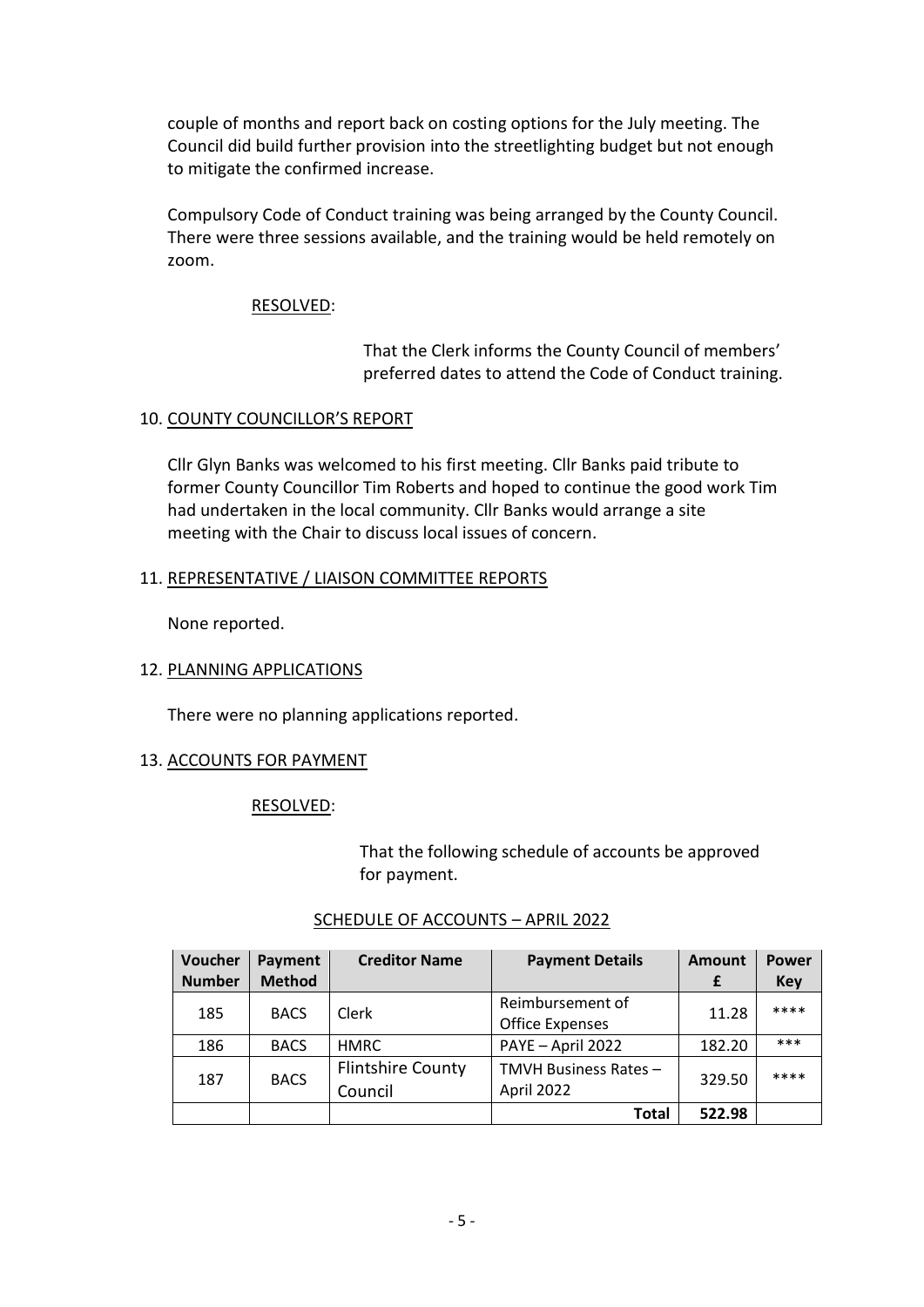couple of months and report back on costing options for the July meeting. The Council did build further provision into the streetlighting budget but not enough to mitigate the confirmed increase.

Compulsory Code of Conduct training was being arranged by the County Council. There were three sessions available, and the training would be held remotely on zoom.

# RESOLVED:

That the Clerk informs the County Council of members' preferred dates to attend the Code of Conduct training.

# 10. COUNTY COUNCILLOR'S REPORT

Cllr Glyn Banks was welcomed to his first meeting. Cllr Banks paid tribute to former County Councillor Tim Roberts and hoped to continue the good work Tim had undertaken in the local community. Cllr Banks would arrange a site meeting with the Chair to discuss local issues of concern.

# 11. REPRESENTATIVE / LIAISON COMMITTEE REPORTS

None reported.

# 12. PLANNING APPLICATIONS

There were no planning applications reported.

# 13. ACCOUNTS FOR PAYMENT

### RESOLVED:

That the following schedule of accounts be approved for payment.

| Voucher<br><b>Number</b> | Payment<br><b>Method</b> | <b>Creditor Name</b>                | <b>Payment Details</b>                     | <b>Amount</b><br>£ | <b>Power</b><br><b>Key</b> |
|--------------------------|--------------------------|-------------------------------------|--------------------------------------------|--------------------|----------------------------|
| 185                      | <b>BACS</b>              | Clerk                               | Reimbursement of<br><b>Office Expenses</b> | 11.28              | ****                       |
| 186                      | <b>BACS</b>              | <b>HMRC</b>                         | PAYE - April 2022                          | 182.20             | $***$                      |
| 187                      | <b>BACS</b>              | <b>Flintshire County</b><br>Council | TMVH Business Rates-<br>April 2022         | 329.50             | ****                       |
|                          |                          |                                     | Total                                      | 522.98             |                            |

### SCHEDULE OF ACCOUNTS – APRIL 2022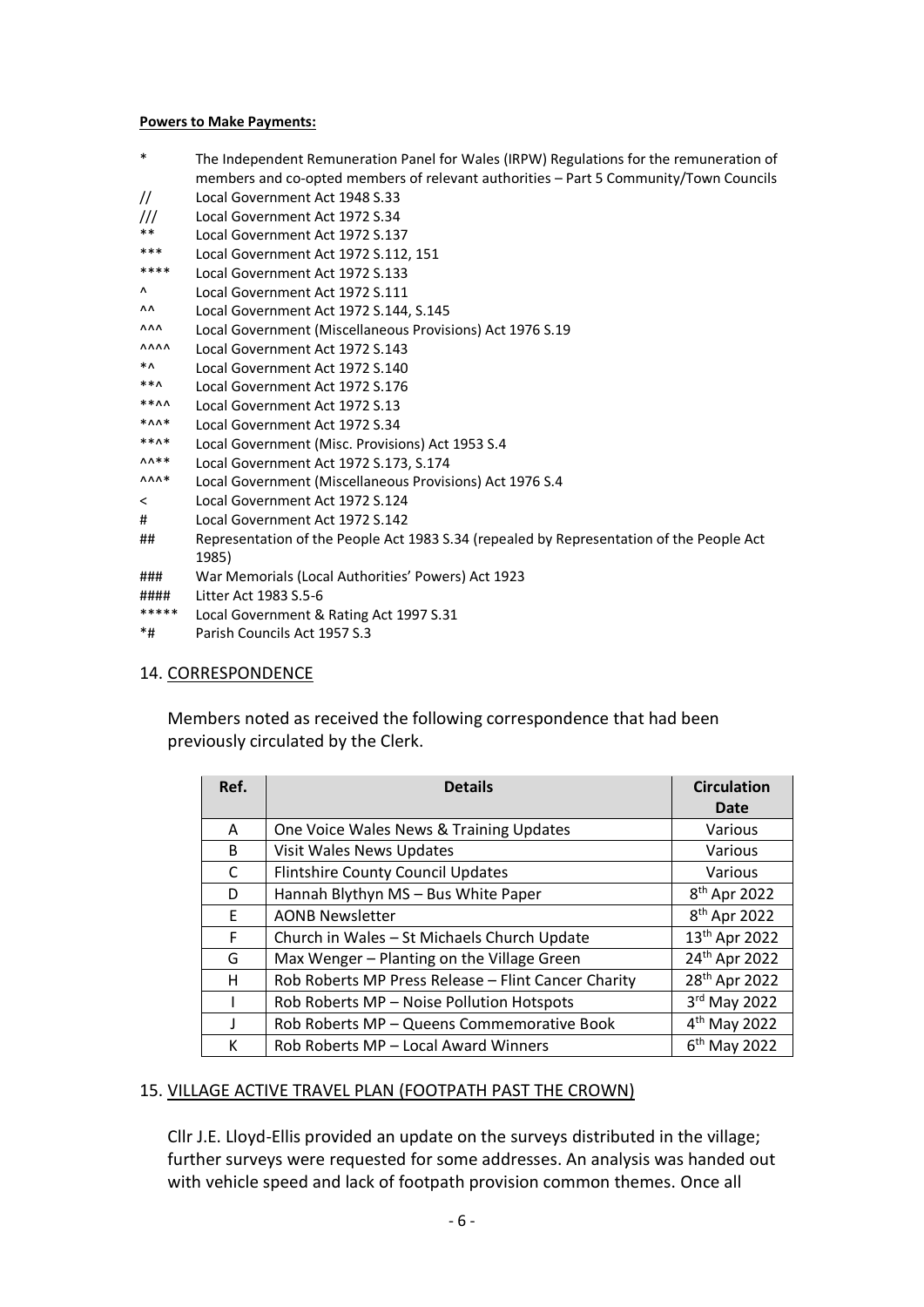#### **Powers to Make Payments:**

- \* The Independent Remuneration Panel for Wales (IRPW) Regulations for the remuneration of members and co-opted members of relevant authorities – Part 5 Community/Town Councils
- // Local Government Act 1948 S.33 /// Local Government Act 1972 S.34
- 
- \*\* Local Government Act 1972 S.137
- \*\*\* Local Government Act 1972 S.112, 151 Local Government Act 1972 S.133
- ^ Local Government Act 1972 S.111
- ^^ Local Government Act 1972 S.144, S.145
- ^^^ Local Government (Miscellaneous Provisions) Act 1976 S.19
- ^^^^ Local Government Act 1972 S.143
- \*^ Local Government Act 1972 S.140
- \*\*^ Local Government Act 1972 S.176
- \*\*^^ Local Government Act 1972 S.13
- \*^^\* Local Government Act 1972 S.34
- Local Government (Misc. Provisions) Act 1953 S.4
- ^^\*\* Local Government Act 1972 S.173, S.174
- ^^^\* Local Government (Miscellaneous Provisions) Act 1976 S.4
- < Local Government Act 1972 S.124
- # Local Government Act 1972 S.142
- ## Representation of the People Act 1983 S.34 (repealed by Representation of the People Act 1985)
- ### War Memorials (Local Authorities' Powers) Act 1923
- #### Litter Act 1983 S.5-6
- \*\*\*\*\* Local Government & Rating Act 1997 S.31
- \*# Parish Councils Act 1957 S.3

### 14. CORRESPONDENCE

Members noted as received the following correspondence that had been previously circulated by the Clerk.

| Ref. | <b>Details</b>                                      | <b>Circulation</b>        |  |
|------|-----------------------------------------------------|---------------------------|--|
|      |                                                     | Date                      |  |
| A    | One Voice Wales News & Training Updates             | Various                   |  |
| B    | Visit Wales News Updates                            | Various                   |  |
| C    | <b>Flintshire County Council Updates</b>            | Various                   |  |
| D    | Hannah Blythyn MS - Bus White Paper                 | 8 <sup>th</sup> Apr 2022  |  |
| E.   | <b>AONB Newsletter</b>                              | 8 <sup>th</sup> Apr 2022  |  |
| F    | Church in Wales - St Michaels Church Update         | 13 <sup>th</sup> Apr 2022 |  |
| G    | Max Wenger - Planting on the Village Green          | 24 <sup>th</sup> Apr 2022 |  |
| н    | Rob Roberts MP Press Release - Flint Cancer Charity | 28 <sup>th</sup> Apr 2022 |  |
|      | Rob Roberts MP - Noise Pollution Hotspots           | 3rd May 2022              |  |
| J.   | Rob Roberts MP - Queens Commemorative Book          | $4th$ May 2022            |  |
| к    | Rob Roberts MP - Local Award Winners                | 6 <sup>th</sup> May 2022  |  |

### 15. VILLAGE ACTIVE TRAVEL PLAN (FOOTPATH PAST THE CROWN)

Cllr J.E. Lloyd-Ellis provided an update on the surveys distributed in the village; further surveys were requested for some addresses. An analysis was handed out with vehicle speed and lack of footpath provision common themes. Once all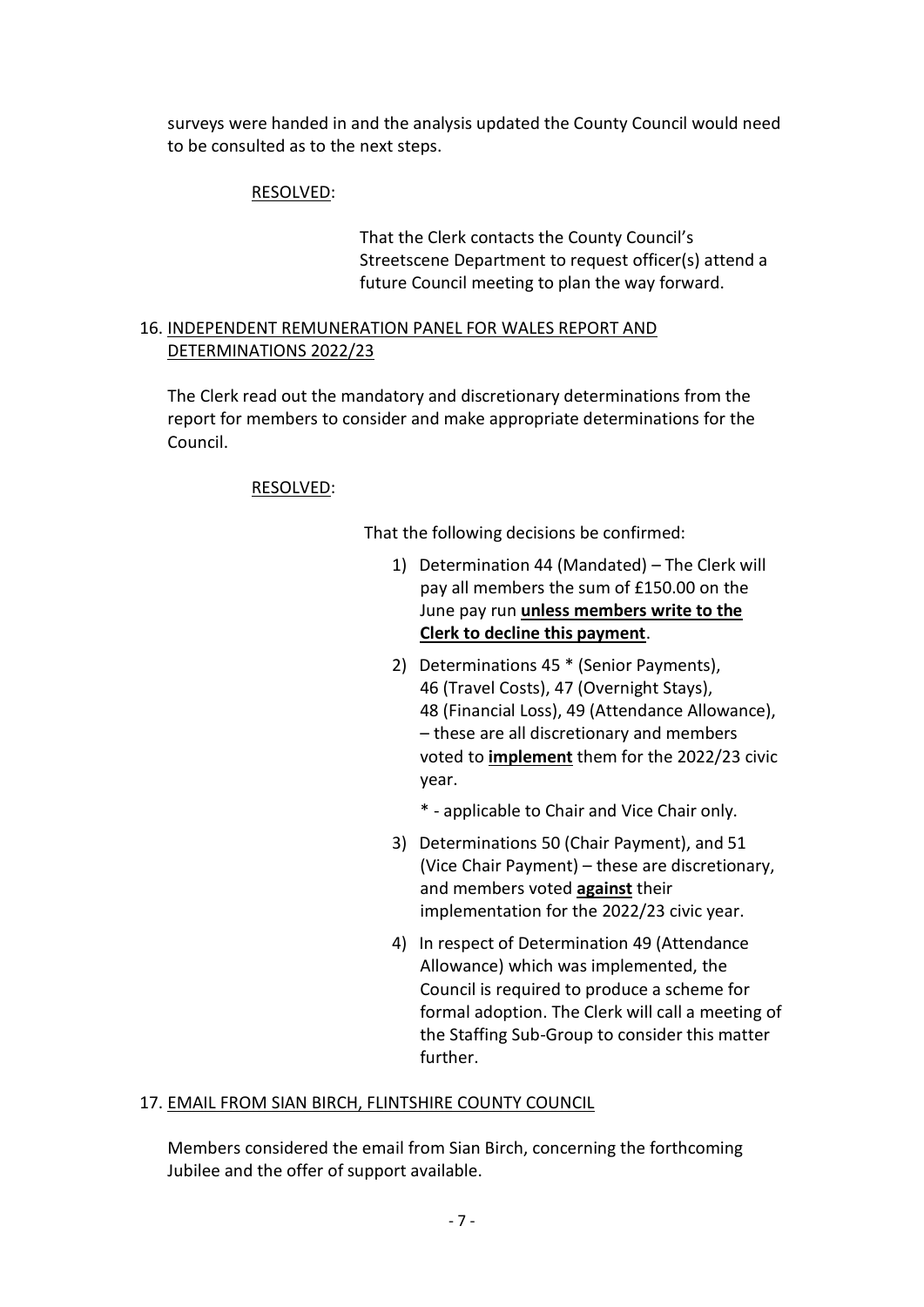surveys were handed in and the analysis updated the County Council would need to be consulted as to the next steps.

# RESOLVED:

That the Clerk contacts the County Council's Streetscene Department to request officer(s) attend a future Council meeting to plan the way forward.

# 16. INDEPENDENT REMUNERATION PANEL FOR WALES REPORT AND DETERMINATIONS 2022/23

The Clerk read out the mandatory and discretionary determinations from the report for members to consider and make appropriate determinations for the Council.

# RESOLVED:

That the following decisions be confirmed:

- 1) Determination 44 (Mandated) The Clerk will pay all members the sum of £150.00 on the June pay run **unless members write to the Clerk to decline this payment**.
- 2) Determinations 45 \* (Senior Payments), 46 (Travel Costs), 47 (Overnight Stays), 48 (Financial Loss), 49 (Attendance Allowance), – these are all discretionary and members voted to **implement** them for the 2022/23 civic year.
	- \* applicable to Chair and Vice Chair only.
- 3) Determinations 50 (Chair Payment), and 51 (Vice Chair Payment) – these are discretionary, and members voted **against** their implementation for the 2022/23 civic year.
- 4) In respect of Determination 49 (Attendance Allowance) which was implemented, the Council is required to produce a scheme for formal adoption. The Clerk will call a meeting of the Staffing Sub-Group to consider this matter further.

### 17. EMAIL FROM SIAN BIRCH, FLINTSHIRE COUNTY COUNCIL

Members considered the email from Sian Birch, concerning the forthcoming Jubilee and the offer of support available.